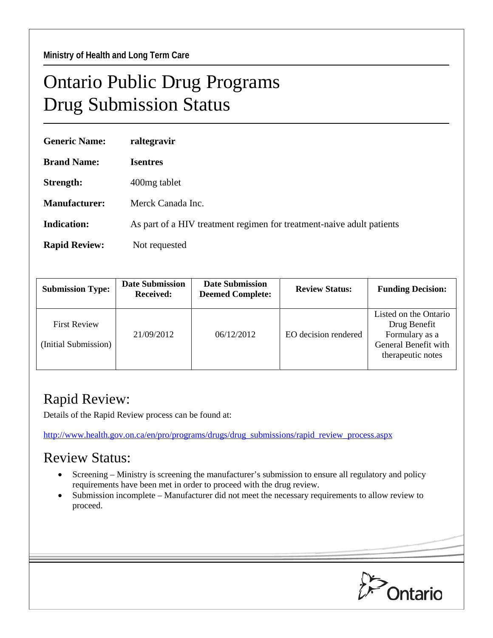## Ontario Public Drug Programs Drug Submission Status

| <b>Generic Name:</b> | raltegravir                                                           |  |  |
|----------------------|-----------------------------------------------------------------------|--|--|
| <b>Brand Name:</b>   | <b>Isentres</b>                                                       |  |  |
| Strength:            | 400 mg tablet                                                         |  |  |
| <b>Manufacturer:</b> | Merck Canada Inc.                                                     |  |  |
| <b>Indication:</b>   | As part of a HIV treatment regimen for treatment-naive adult patients |  |  |
| <b>Rapid Review:</b> | Not requested                                                         |  |  |

| <b>Submission Type:</b>                     | <b>Date Submission</b><br><b>Received:</b> | <b>Date Submission</b><br><b>Deemed Complete:</b> | <b>Review Status:</b> | <b>Funding Decision:</b>                                                                             |
|---------------------------------------------|--------------------------------------------|---------------------------------------------------|-----------------------|------------------------------------------------------------------------------------------------------|
| <b>First Review</b><br>(Initial Submission) | 21/09/2012                                 | 06/12/2012                                        | EO decision rendered  | Listed on the Ontario<br>Drug Benefit<br>Formulary as a<br>General Benefit with<br>therapeutic notes |

## Rapid Review:

Details of the Rapid Review process can be found at:

[http://www.health.gov.on.ca/en/pro/programs/drugs/drug\\_submissions/rapid\\_review\\_process.aspx](http://www.health.gov.on.ca/en/pro/programs/drugs/drug_submissions/rapid_review_process.aspx)

## Review Status:

- Screening Ministry is screening the manufacturer's submission to ensure all regulatory and policy requirements have been met in order to proceed with the drug review.
- Submission incomplete Manufacturer did not meet the necessary requirements to allow review to proceed.